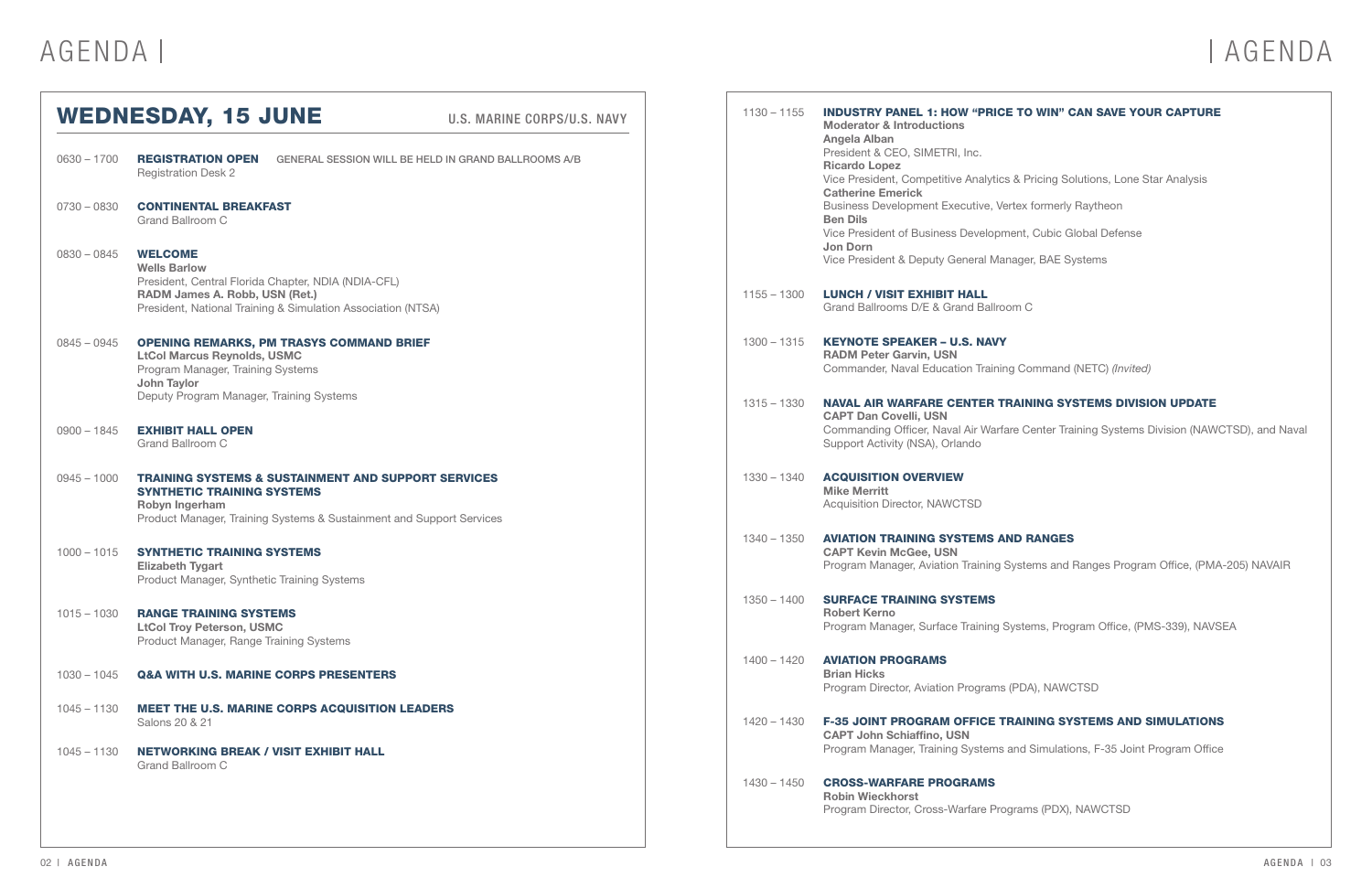| <b>WEDNESDAY, 15 JUNE</b><br>U.S. MARINE CORPS/U.S. NAVY |                                                                                                                                                                                               | $1130 - 1155$ |               | <b>INDUSTRY PANEL 1: HOW "PRICE</b><br><b>Moderator &amp; Introductions</b><br><b>Angela Alban</b>                          |
|----------------------------------------------------------|-----------------------------------------------------------------------------------------------------------------------------------------------------------------------------------------------|---------------|---------------|-----------------------------------------------------------------------------------------------------------------------------|
| $0630 - 1700$                                            | <b>REGISTRATION OPEN</b><br><b>GENERAL SESSION WILL BE HELD IN GRAND BALLROOMS A/B</b><br><b>Registration Desk 2</b>                                                                          |               |               | President & CEO, SIMETRI, Inc.<br><b>Ricardo Lopez</b><br>Vice President, Competitive Analytics<br><b>Catherine Emerick</b> |
| $0730 - 0830$                                            | <b>CONTINENTAL BREAKFAST</b><br>Grand Ballroom C                                                                                                                                              |               |               | <b>Business Development Executive, Ver</b><br><b>Ben Dils</b><br>Vice President of Business Developm                        |
| $0830 - 0845$                                            | <b>WELCOME</b><br><b>Wells Barlow</b>                                                                                                                                                         |               |               | Jon Dorn<br>Vice President & Deputy General Man                                                                             |
|                                                          | President, Central Florida Chapter, NDIA (NDIA-CFL)<br>RADM James A. Robb, USN (Ret.)<br>President, National Training & Simulation Association (NTSA)                                         |               | $1155 - 1300$ | <b>LUNCH / VISIT EXHIBIT HALL</b><br>Grand Ballrooms D/E & Grand Ballroo                                                    |
| $0845 - 0945$                                            | <b>OPENING REMARKS, PM TRASYS COMMAND BRIEF</b><br><b>LtCol Marcus Reynolds, USMC</b><br>Program Manager, Training Systems                                                                    |               | $1300 - 1315$ | <b>KEYNOTE SPEAKER - U.S. NAVY</b><br><b>RADM Peter Garvin, USN</b><br>Commander, Naval Education Training                  |
|                                                          | <b>John Taylor</b><br>Deputy Program Manager, Training Systems                                                                                                                                |               | $1315 - 1330$ | <b>NAVAL AIR WARFARE CENTER TF</b><br><b>CAPT Dan Covelli, USN</b>                                                          |
| $0900 - 1845$                                            | <b>EXHIBIT HALL OPEN</b><br>Grand Ballroom C                                                                                                                                                  |               |               | Commanding Officer, Naval Air Warfa<br>Support Activity (NSA), Orlando                                                      |
| $0945 - 1000$                                            | <b>TRAINING SYSTEMS &amp; SUSTAINMENT AND SUPPORT SERVICES</b><br><b>SYNTHETIC TRAINING SYSTEMS</b><br>Robyn Ingerham<br>Product Manager, Training Systems & Sustainment and Support Services |               | $1330 - 1340$ | <b>ACQUISITION OVERVIEW</b><br><b>Mike Merritt</b><br>Acquisition Director, NAWCTSD                                         |
| $1000 - 1015$                                            | SYNTHETIC TRAINING SYSTEMS<br><b>Elizabeth Tygart</b>                                                                                                                                         |               | $1340 - 1350$ | <b>AVIATION TRAINING SYSTEMS AN</b><br><b>CAPT Kevin McGee, USN</b><br>Program Manager, Aviation Training S                 |
| $1015 - 1030$                                            | Product Manager, Synthetic Training Systems<br><b>RANGE TRAINING SYSTEMS</b><br><b>LtCol Troy Peterson, USMC</b><br>Product Manager, Range Training Systems                                   |               | $1350 - 1400$ | <b>SURFACE TRAINING SYSTEMS</b><br><b>Robert Kerno</b><br>Program Manager, Surface Training S                               |
| $1030 - 1045$                                            | <b>Q&amp;A WITH U.S. MARINE CORPS PRESENTERS</b>                                                                                                                                              |               | 1400 - 1420   | <b>AVIATION PROGRAMS</b><br><b>Brian Hicks</b><br>Program Director, Aviation Programs                                       |
| $1045 - 1130$                                            | <b>MEET THE U.S. MARINE CORPS ACQUISITION LEADERS</b><br>Salons 20 & 21                                                                                                                       |               | 1420 – 1430   | <b>F-35 JOINT PROGRAM OFFICE TP</b><br><b>CAPT John Schiaffino, USN</b>                                                     |
| $1045 - 1130$                                            | <b>NETWORKING BREAK / VISIT EXHIBIT HALL</b><br>Grand Ballroom C                                                                                                                              |               |               | Program Manager, Training Systems a                                                                                         |
|                                                          |                                                                                                                                                                                               |               | $1430 - 1450$ | <b>CROSS-WARFARE PROGRAMS</b><br><b>Robin Wieckhorst</b><br>Program Director, Cross-Warfare Prog                            |

## AGENDA | AGENDA

### **E TO WIN" CAN SAVE YOUR CAPTURE**

- 8 & Pricing Solutions, Lone Star Analysis
- **Prtex formerly Raytheon**
- vent, Cubic Global Defense
- nager, BAE Systems
- om C
- **ng Command (NETC)** (Invited)

### RAINING SYSTEMS DIVISION UPDATE

re Center Training Systems Division (NAWCTSD), and Naval

### **ND RANGES**

- Systems and Ranges Program Office, (PMA-205) NAVAIR
- Systems, Program Office, (PMS-339), NAVSEA
- (PDA), NAWCTSD

### RAINING SYSTEMS AND SIMULATIONS

- and Simulations, F-35 Joint Program Office
- grams (PDX), NAWCTSD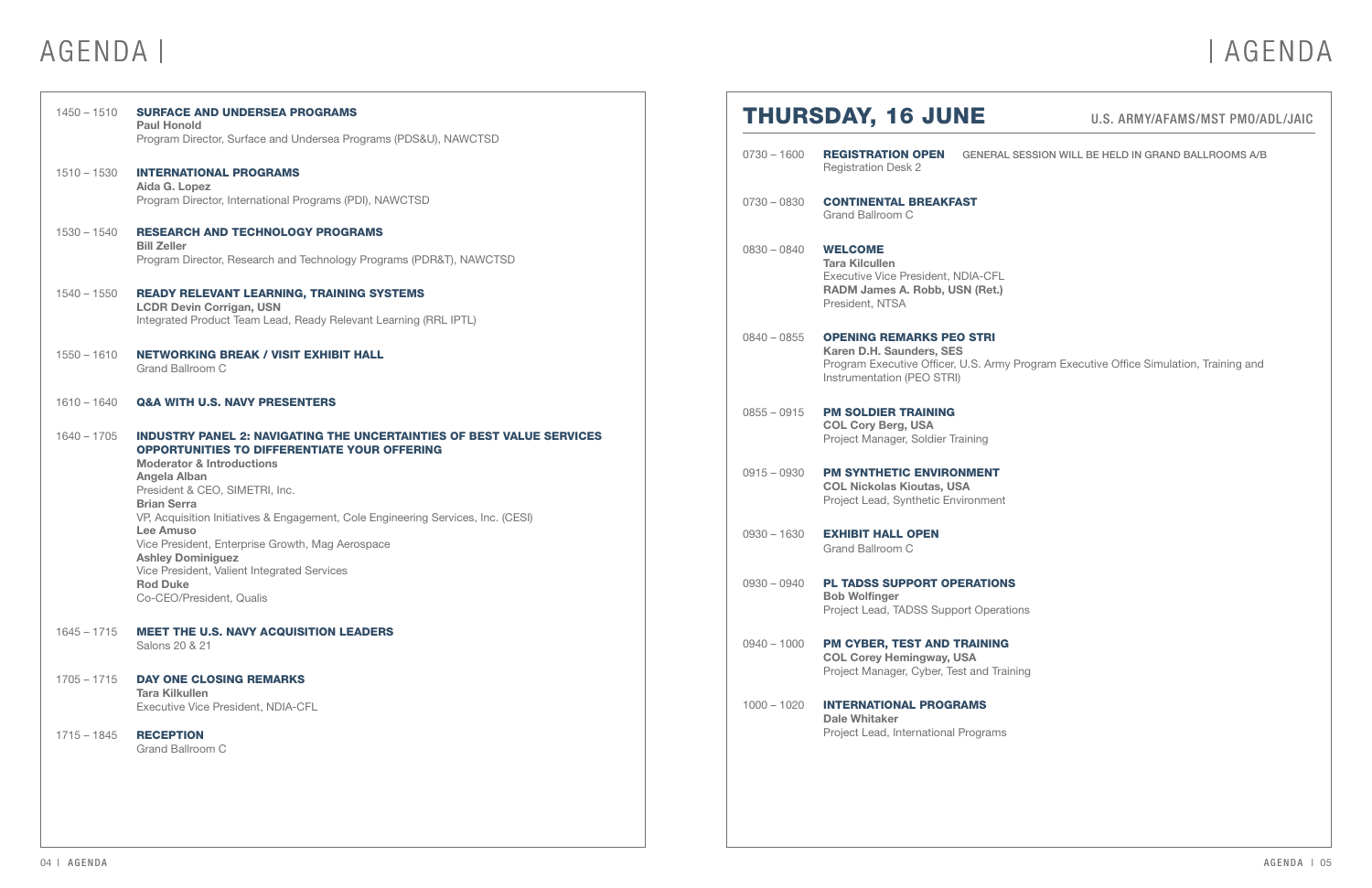| $1450 - 1510$                  | <b>SURFACE AND UNDERSEA PROGRAMS</b><br><b>Paul Honold</b>                                                                                                                                                                                                     |               | <b>THURSDAY, 16 JUNE</b>                                                                                                            |  |
|--------------------------------|----------------------------------------------------------------------------------------------------------------------------------------------------------------------------------------------------------------------------------------------------------------|---------------|-------------------------------------------------------------------------------------------------------------------------------------|--|
| $1510 - 1530$                  | Program Director, Surface and Undersea Programs (PDS&U), NAWCTSD<br><b>INTERNATIONAL PROGRAMS</b>                                                                                                                                                              | $0730 - 1600$ | <b>REGISTRATION OPEN</b><br><b>GENERALS</b><br><b>Registration Desk 2</b>                                                           |  |
|                                | Aida G. Lopez<br>Program Director, International Programs (PDI), NAWCTSD                                                                                                                                                                                       | $0730 - 0830$ | <b>CONTINENTAL BREAKFAST</b><br>Grand Ballroom C                                                                                    |  |
| $1530 - 1540$                  | <b>RESEARCH AND TECHNOLOGY PROGRAMS</b><br><b>Bill Zeller</b><br>Program Director, Research and Technology Programs (PDR&T), NAWCTSD                                                                                                                           | $0830 - 0840$ | <b>WELCOME</b><br><b>Tara Kilcullen</b><br><b>Executive Vice President, NDIA-CFL</b>                                                |  |
| $1540 - 1550$                  | <b>READY RELEVANT LEARNING, TRAINING SYSTEMS</b><br><b>LCDR Devin Corrigan, USN</b><br>Integrated Product Team Lead, Ready Relevant Learning (RRL IPTL)                                                                                                        |               | RADM James A. Robb, USN (Ret.)<br>President, NTSA                                                                                   |  |
| $1550 - 1610$                  | <b>NETWORKING BREAK / VISIT EXHIBIT HALL</b><br><b>Grand Ballroom C</b>                                                                                                                                                                                        | $0840 - 0855$ | <b>OPENING REMARKS PEO STRI</b><br>Karen D.H. Saunders, SES<br>Program Executive Officer, U.S. Army I<br>Instrumentation (PEO STRI) |  |
| $1610 - 1640$<br>$1640 - 1705$ | <b>Q&amp;A WITH U.S. NAVY PRESENTERS</b><br><b>INDUSTRY PANEL 2: NAVIGATING THE UNCERTAINTIES OF BEST VALUE SERVICES</b>                                                                                                                                       | $0855 - 0915$ | <b>PM SOLDIER TRAINING</b><br><b>COL Cory Berg, USA</b><br>Project Manager, Soldier Training                                        |  |
|                                | <b>OPPORTUNITIES TO DIFFERENTIATE YOUR OFFERING</b><br><b>Moderator &amp; Introductions</b><br><b>Angela Alban</b><br>President & CEO, SIMETRI, Inc.<br><b>Brian Serra</b><br>VP, Acquisition Initiatives & Engagement, Cole Engineering Services, Inc. (CESI) | $0915 - 0930$ | <b>PM SYNTHETIC ENVIRONMENT</b><br><b>COL Nickolas Kioutas, USA</b><br>Project Lead, Synthetic Environment                          |  |
|                                | <b>Lee Amuso</b><br>Vice President, Enterprise Growth, Mag Aerospace<br><b>Ashley Dominiquez</b>                                                                                                                                                               | $0930 - 1630$ | <b>EXHIBIT HALL OPEN</b><br>Grand Ballroom C                                                                                        |  |
|                                | Vice President, Valient Integrated Services<br><b>Rod Duke</b><br>Co-CEO/President, Qualis                                                                                                                                                                     | $0930 - 0940$ | PL TADSS SUPPORT OPERATIONS<br><b>Bob Wolfinger</b><br>Project Lead, TADSS Support Operatio                                         |  |
| $1645 - 1715$                  | <b>MEET THE U.S. NAVY ACQUISITION LEADERS</b><br>Salons 20 & 21                                                                                                                                                                                                | $0940 - 1000$ | PM CYBER, TEST AND TRAINING<br><b>COL Corey Hemingway, USA</b><br>Project Manager, Cyber, Test and Train                            |  |
| $1705 - 1715$                  | <b>DAY ONE CLOSING REMARKS</b><br><b>Tara Kilkullen</b><br><b>Executive Vice President, NDIA-CFL</b>                                                                                                                                                           | $1000 - 1020$ | <b>INTERNATIONAL PROGRAMS</b><br><b>Dale Whitaker</b>                                                                               |  |
| $1715 - 1845$                  | <b>RECEPTION</b><br><b>Grand Ballroom C</b>                                                                                                                                                                                                                    |               | Project Lead, International Programs                                                                                                |  |
|                                |                                                                                                                                                                                                                                                                |               |                                                                                                                                     |  |

# AGENDA | AGENDA | AGENDA

### U.S. ARMY/AFAMS/MST PMO/ADL/JAIC

### AL SESSION WILL BE HELD IN GRAND BALLROOMS A/B

my Program Executive Office Simulation, Training and

ations

raining